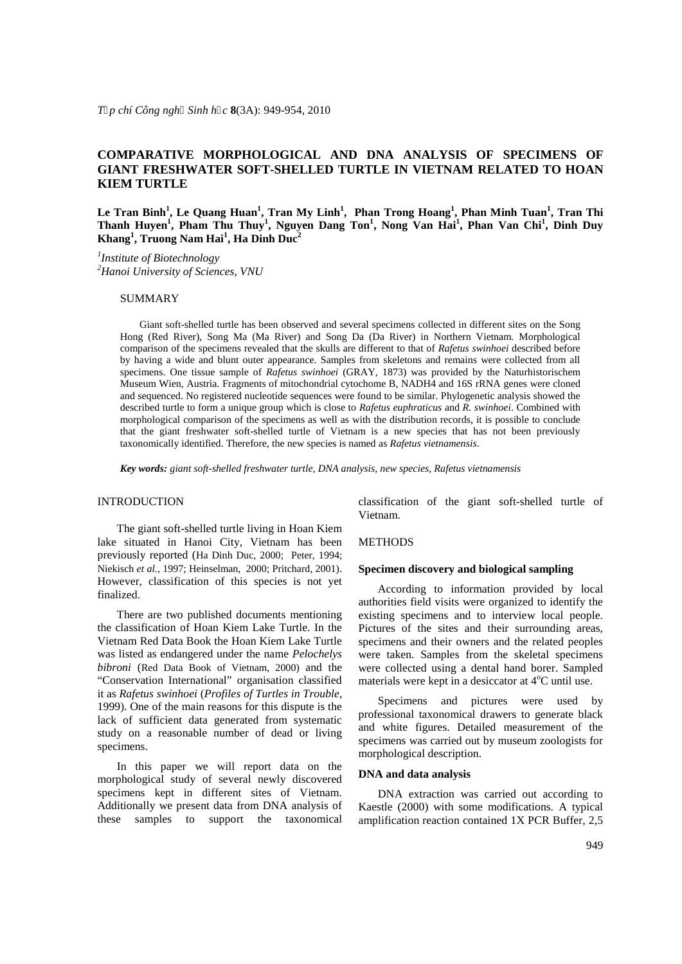## **COMPARATIVE MORPHOLOGICAL AND DNA ANALYSIS OF SPECIMENS OF GIANT FRESHWATER SOFT-SHELLED TURTLE IN VIETNAM RELATED TO HOAN KIEM TURTLE**

**Le Tran Binh<sup>1</sup> , Le Quang Huan<sup>1</sup> , Tran My Linh<sup>1</sup> , Phan Trong Hoang<sup>1</sup> , Phan Minh Tuan<sup>1</sup> , Tran Thi Thanh Huyen<sup>1</sup> , Pham Thu Thuy<sup>1</sup> , Nguyen Dang Ton<sup>1</sup> , Nong Van Hai<sup>1</sup> , Phan Van Chi<sup>1</sup> , Dinh Duy Khang<sup>1</sup> , Truong Nam Hai<sup>1</sup> , Ha Dinh Duc<sup>2</sup>**

*1 Institute of Biotechnology <sup>2</sup>Hanoi University of Sciences, VNU*

### SUMMARY

Giant soft-shelled turtle has been observed and several specimens collected in different sites on the Song Hong (Red River), Song Ma (Ma River) and Song Da (Da River) in Northern Vietnam. Morphological comparison of the specimens revealed that the skulls are different to that of *Rafetus swinhoei* described before by having a wide and blunt outer appearance. Samples from skeletons and remains were collected from all specimens. One tissue sample of *Rafetus swinhoei* (GRAY, 1873) was provided by the Naturhistorischem Museum Wien, Austria. Fragments of mitochondrial cytochome B, NADH4 and 16S rRNA genes were cloned and sequenced. No registered nucleotide sequences were found to be similar. Phylogenetic analysis showed the described turtle to form a unique group which is close to *Rafetus euphraticus* and *R. swinhoei*. Combined with morphological comparison of the specimens as well as with the distribution records, it is possible to conclude that the giant freshwater soft-shelled turtle of Vietnam is a new species that has not been previously taxonomically identified. Therefore, the new species is named as *Rafetus vietnamensis*.

*Key words: giant soft-shelled freshwater turtle, DNA analysis, new species, Rafetus vietnamensis*

### INTRODUCTION

The giant soft-shelled turtle living in Hoan Kiem lake situated in Hanoi City, Vietnam has been previously reported (Ha Dinh Duc, 2000; Peter, 1994; Niekisch *et al.,* 1997; Heinselman, 2000; Pritchard, 2001). However, classification of this species is not yet finalized.

There are two published documents mentioning the classification of Hoan Kiem Lake Turtle. In the Vietnam Red Data Book the Hoan Kiem Lake Turtle was listed as endangered under the name *Pelochelys bibroni* (Red Data Book of Vietnam, 2000) and the "Conservation International" organisation classified it as *Rafetus swinhoei* (*Profiles of Turtles in Trouble*, 1999). One of the main reasons for this dispute is the lack of sufficient data generated from systematic study on a reasonable number of dead or living specimens.

In this paper we will report data on the morphological study of several newly discovered specimens kept in different sites of Vietnam. Additionally we present data from DNA analysis of these samples to support the taxonomical classification of the giant soft-shelled turtle of Vietnam.

#### METHODS

### **Specimen discovery and biological sampling**

According to information provided by local authorities field visits were organized to identify the existing specimens and to interview local people. Pictures of the sites and their surrounding areas, specimens and their owners and the related peoples were taken. Samples from the skeletal specimens were collected using a dental hand borer. Sampled materials were kept in a desiccator at  $4^{\circ}$ C until use.

Specimens and pictures were used by professional taxonomical drawers to generate black and white figures. Detailed measurement of the specimens was carried out by museum zoologists for morphological description.

#### **DNA and data analysis**

DNA extraction was carried out according to Kaestle (2000) with some modifications. A typical amplification reaction contained 1X PCR Buffer, 2,5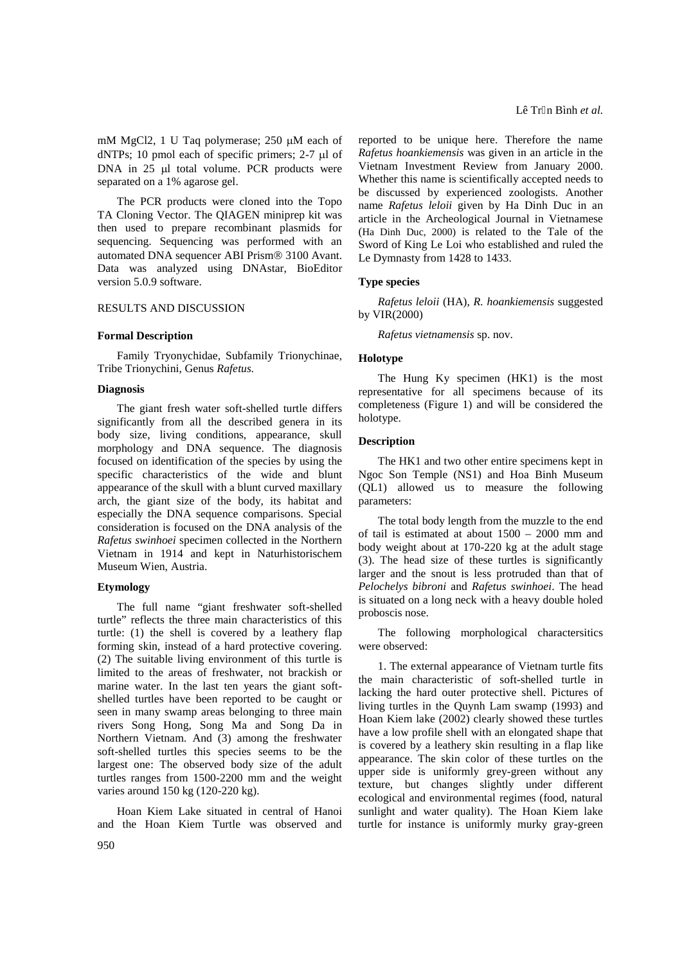mM MgCl2, 1 U Taq polymerase;  $250 \mu M$  each of dNTPs; 10 pmol each of specific primers;  $2-7 \mu l$  of DNA in  $25$   $\mu$ l total volume. PCR products were separated on a 1% agarose gel.

The PCR products were cloned into the Topo TA Cloning Vector. The QIAGEN miniprep kit was then used to prepare recombinant plasmids for sequencing. Sequencing was performed with an automated DNA sequencer ABI Prism® 3100 Avant. Data was analyzed using DNAstar, BioEditor version 5.0.9 software.

## RESULTS AND DISCUSSION

#### **Formal Description**

Family Tryonychidae, Subfamily Trionychinae, Tribe Trionychini, Genus *Rafetus.*

#### **Diagnosis**

The giant fresh water soft-shelled turtle differs significantly from all the described genera in its body size, living conditions, appearance, skull morphology and DNA sequence. The diagnosis focused on identification of the species by using the specific characteristics of the wide and blunt appearance of the skull with a blunt curved maxillary arch, the giant size of the body, its habitat and especially the DNA sequence comparisons. Special consideration is focused on the DNA analysis of the *Rafetus swinhoei* specimen collected in the Northern Vietnam in 1914 and kept in Naturhistorischem Museum Wien, Austria.

#### **Etymology**

The full name "giant freshwater soft-shelled turtle" reflects the three main characteristics of this turtle: (1) the shell is covered by a leathery flap forming skin, instead of a hard protective covering. (2) The suitable living environment of this turtle is limited to the areas of freshwater, not brackish or marine water. In the last ten years the giant softshelled turtles have been reported to be caught or seen in many swamp areas belonging to three main rivers Song Hong, Song Ma and Song Da in Northern Vietnam. And (3) among the freshwater soft-shelled turtles this species seems to be the largest one: The observed body size of the adult turtles ranges from 1500-2200 mm and the weight varies around 150 kg (120-220 kg).

Hoan Kiem Lake situated in central of Hanoi and the Hoan Kiem Turtle was observed and

reported to be unique here. Therefore the name *Rafetus hoankiemensis* was given in an article in the Vietnam Investment Review from January 2000. Whether this name is scientifically accepted needs to be discussed by experienced zoologists. Another name *Rafetus leloii* given by Ha Dinh Duc in an article in the Archeological Journal in Vietnamese (Ha Dinh Duc, 2000) is related to the Tale of the Sword of King Le Loi who established and ruled the Le Dymnasty from 1428 to 1433.

#### **Type species**

*Rafetus leloii* (HA), *R. hoankiemensis* suggested by VIR(2000)

*Rafetus vietnamensis* sp. nov.

#### **Holotype**

The Hung Ky specimen (HK1) is the most representative for all specimens because of its completeness (Figure 1) and will be considered the holotype.

### **Description**

The HK1 and two other entire specimens kept in Ngoc Son Temple (NS1) and Hoa Binh Museum (QL1) allowed us to measure the following parameters:

The total body length from the muzzle to the end of tail is estimated at about 1500 – 2000 mm and body weight about at 170-220 kg at the adult stage (3). The head size of these turtles is significantly larger and the snout is less protruded than that of *Pelochelys bibroni* and *Rafetus swinhoei*. The head is situated on a long neck with a heavy double holed proboscis nose.

The following morphological charactersitics were observed:

1. The external appearance of Vietnam turtle fits the main characteristic of soft-shelled turtle in lacking the hard outer protective shell. Pictures of living turtles in the Quynh Lam swamp (1993) and Hoan Kiem lake (2002) clearly showed these turtles have a low profile shell with an elongated shape that is covered by a leathery skin resulting in a flap like appearance. The skin color of these turtles on the upper side is uniformly grey-green without any texture, but changes slightly under different ecological and environmental regimes (food, natural sunlight and water quality). The Hoan Kiem lake turtle for instance is uniformly murky gray-green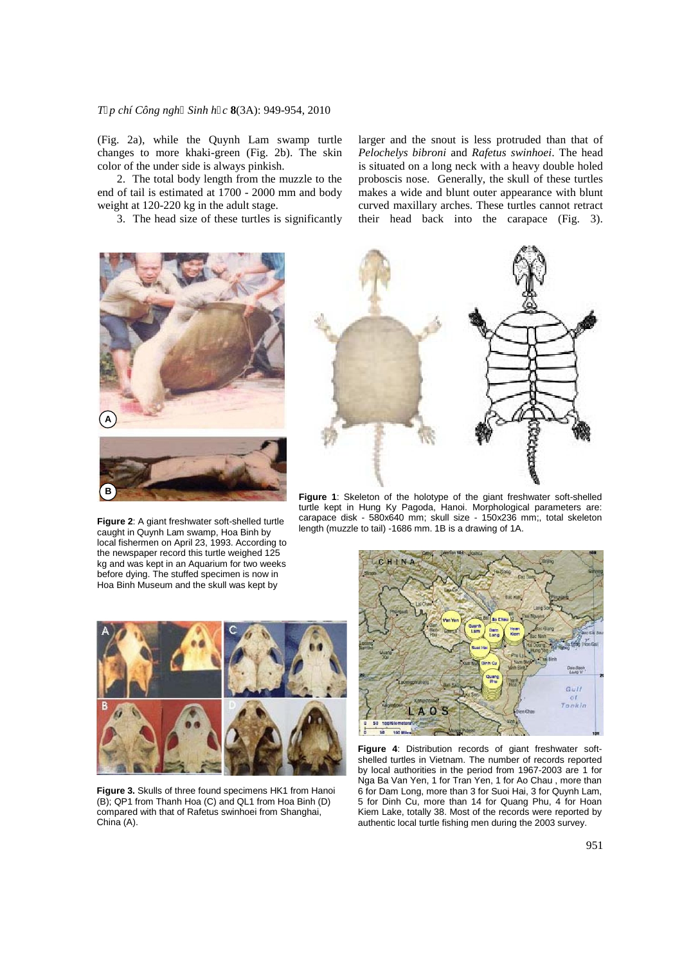## *Tạp chí Công nghệ Sinh học* **8**(3A): 949-954, 2010

(Fig. 2a), while the Quynh Lam swamp turtle changes to more khaki-green (Fig. 2b). The skin color of the under side is always pinkish.

2. The total body length from the muzzle to the end of tail is estimated at 1700 - 2000 mm and body weight at 120-220 kg in the adult stage.

3. The head size of these turtles is significantly

**A B**

**Figure 2**: A giant freshwater soft-shelled turtle caught in Quynh Lam swamp, Hoa Binh by local fishermen on April 23, 1993. According to the newspaper record this turtle weighed 125 kg and was kept in an Aquarium for two weeks before dying. The stuffed specimen is now in Hoa Binh Museum and the skull was kept by

larger and the snout is less protruded than that of *Pelochelys bibroni* and *Rafetus swinhoei*. The head is situated on a long neck with a heavy double holed proboscis nose. Generally, the skull of these turtles makes a wide and blunt outer appearance with blunt curved maxillary arches. These turtles cannot retract their head back into the carapace (Fig. 3).



**Figure 1**: Skeleton of the holotype of the giant freshwater soft-shelled turtle kept in Hung Ky Pagoda, Hanoi. Morphological parameters are: carapace disk - 580x640 mm; skull size - 150x236 mm;, total skeleton length (muzzle to tail) -1686 mm. 1B is a drawing of 1A.



**Figure 3.** Skulls of three found specimens HK1 from Hanoi (B); QP1 from Thanh Hoa (C) and QL1 from Hoa Binh (D) compared with that of Rafetus swinhoei from Shanghai, China (A).



**Figure 4**: Distribution records of giant freshwater softshelled turtles in Vietnam. The number of records reported by local authorities in the period from 1967-2003 are 1 for Nga Ba Van Yen, 1 for Tran Yen, 1 for Ao Chau , more than 6 for Dam Long, more than 3 for Suoi Hai, 3 for Quynh Lam, 5 for Dinh Cu, more than 14 for Quang Phu, 4 for Hoan Kiem Lake, totally 38. Most of the records were reported by authentic local turtle fishing men during the 2003 survey.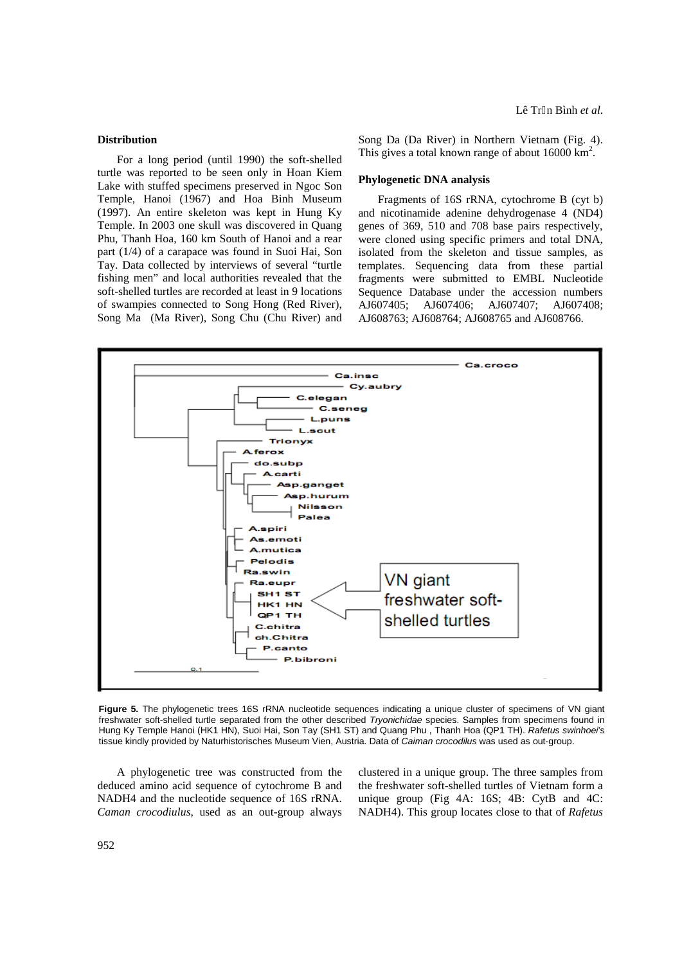#### **Distribution**

For a long period (until 1990) the soft-shelled turtle was reported to be seen only in Hoan Kiem Lake with stuffed specimens preserved in Ngoc Son Temple, Hanoi (1967) and Hoa Binh Museum (1997). An entire skeleton was kept in Hung Ky Temple. In 2003 one skull was discovered in Quang Phu, Thanh Hoa, 160 km South of Hanoi and a rear part (1/4) of a carapace was found in Suoi Hai, Son Tay. Data collected by interviews of several "turtle fishing men" and local authorities revealed that the soft-shelled turtles are recorded at least in 9 locations of swampies connected to Song Hong (Red River), Song Ma (Ma River), Song Chu (Chu River) and

Song Da (Da River) in Northern Vietnam (Fig. 4). This gives a total known range of about  $16000 \text{ km}^2$ .

#### **Phylogenetic DNA analysis**

Fragments of 16S rRNA, cytochrome B (cyt b) and nicotinamide adenine dehydrogenase 4 (ND4) genes of 369, 510 and 708 base pairs respectively, were cloned using specific primers and total DNA, isolated from the skeleton and tissue samples, as templates. Sequencing data from these partial fragments were submitted to EMBL Nucleotide Sequence Database under the accession numbers AJ607405; AJ607406; AJ607407; AJ607408; AJ608763; AJ608764; AJ608765 and AJ608766.



**Figure 5.** The phylogenetic trees 16S rRNA nucleotide sequences indicating a unique cluster of specimens of VN giant freshwater soft-shelled turtle separated from the other described *Tryonichidae* species. Samples from specimens found in Hung Ky Temple Hanoi (HK1 HN), Suoi Hai, Son Tay (SH1 ST) and Quang Phu , Thanh Hoa (QP1 TH). *Rafetus swinhoei*'s tissue kindly provided by Naturhistorisches Museum Vien, Austria. Data of *Caiman crocodilus* was used as out-group.

A phylogenetic tree was constructed from the deduced amino acid sequence of cytochrome B and NADH4 and the nucleotide sequence of 16S rRNA. *Caman crocodiulus*, used as an out-group always

clustered in a unique group. The three samples from the freshwater soft-shelled turtles of Vietnam form a unique group (Fig 4A: 16S; 4B: CytB and 4C: NADH4). This group locates close to that of *Rafetus*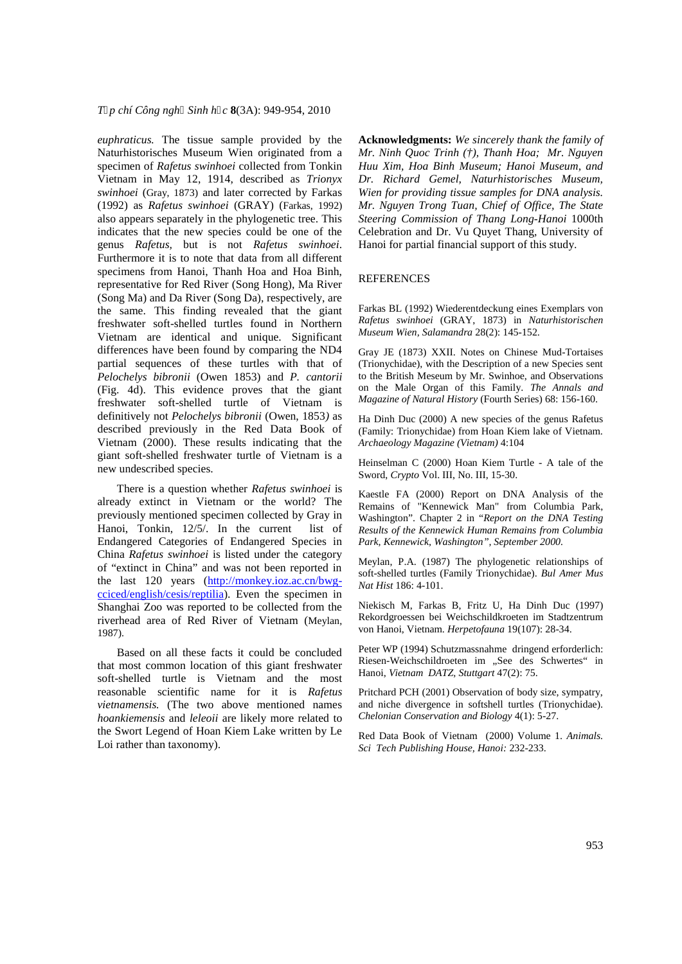T€pchí Công ngh Sinh h,c 8(3A): 949-954, 2010

euphraticus. The tissue sample provided by the Acknowledgments: We sincerely thank the family of Naturhistorisches Museum Wien originated from &Mr. Ninh Quoc Trinh (f), Thanh Hoa; Mr. Nguyen specimen oRafetus swinhoeiollected from Tonkin Huu Xim, Hoa Binh Museum; Hanoi Museum, and Vietnam in May 12, 1914, described asrionyx Dr. Richard Gemel, Naturhistorisches Museum, swinhoei (Gray, 1873) and later corrected by Farkas Wien for providing tissue samest for DNA analysis. (1992) asRafetus swinhoe (GRAY) (Farkas, 1992 Mr. Nguyen Trong Tuan, Chief of Office, The State also appears separately in the phylogenetic tree. Th&eering Commission of Thang Lehgnoi 1000th indicates that the new species could be one of the elebration and Dr. Vu Quyet Thang, University of genus Rafeus, but is not Rafetus swinhoei Hanoi for partial inancial support of this study. Furthermore it is to note that data from all different specimens from Hanoi, Thanh Hoa and Hoa Binh, REFERENCES representative for Red River (Song Hong), Ma River (Song Ma) and Da River (Song Da), respectively, are the same. This fidting revealed that the giant FarkasBL (1992) Wiederendeckung eines Exemplars von freshwater softshelled turtles found in Northern Rafetus swinhoei(GRAY, 1873) in Naturhistorischen Wetnam are identical and unique. Significant<sup>Museum</sup> Wien, Salamand 28(2): 145-152 differences have been found by comparing the NDGray JE (1873) XXII. Notes on Chinese MuTobrtaises partial sequences of these turtles with that offrionychidae), with the Description of a new Species sent Pelochelys bibronii(Owen 1853)and P. cantorii (Fig. 4d). This evidence proves that the gian<sup>on the Male Organ of this FamilyThe Annals and</sup> freshwater softshelled turtle of Vietnam is definitively not Pelochelys bibroni (Owen, 1853 as described previously in theRed Data Book of Vietnam (2000) These results indicating that theArchaeologyMagazine (Vietnam):104 giant softshelled freshwater turtle of Vietnam is a<br>new undescribed anasies new undescribed species. There is a question wheth Rafetus swinhoes already extinct in Vietnam or the world? The Remains of "Kennewick Man"from Columbia Park, to the British Meseum by M Swinhoe, and Observations Magazine of Natural Histor Fourth Series 68: 156-160. Ha Dinh Duc (2000) A new species of the genus Rafetus (Family: Trionychidae) from Hoan Kiem lake of Vietnam. Sword, Crypto Vol. III, No. III, 15-30. Kaestle FA (2000)Report on DNA Analysis of the

previously mentioned specimen collected by Gray in the figure of the following the DNA Testing Hanoi, Tonkin, 12/5/. In the curren list of Endangered Categories of Endangered Species Park, Kennewick, Washington,,, September 2000. China Rafetus swinhoeis listed under the category<br>of Gartinat in Chinas and was not been reported Meylan, P.A. (1987) The phylogenetic relationships of Results of the Kennewick Human Remains from Columbia

of €extinct in China• and was not been reported in the research the privilegement relationships<br>the dest. 499 were http://weakey.ize.co.ar/hyvessionships the last 120 years http://monkey.ioz.ac.cn/bwg cciced/english/cesis/reptilia Even the specimen in Shanghai Zoo was reported to be collected from the ekisch M, Farkas B, Fritz UHa Dinh Duc (1997) Nat Hist186:4-101.

riverhead area of Red River of Vietnameylan 1987). Rekordgroessen bei Weichschildkroeten im Stadtzentrum von Hanoi, VietnamHerpetofaunal 9(107) 28-34.

Based on all these facts it could be concluded eter WP (1994) Schutzmassnahme dringend erfordderlic that most common lotion of this giant freshwater RiesenWeichschildroeten im "See des Schwertes€ in soft-shelled turtle is Vietnam and the most Hanoi, Vietnam DATZ, Stuttgart7(2): 75.

reasonable scientific name for it isRafetus Pritchard PCH (2001) Observation of body size, sympatry, vietnamensis.(The two above mentioned names and niche divergence in softshell turtles (Trionychidae). hoankiemensiand leleoii are likely more related to Chelonian Conservation and Biology (): 5-27. the Swort Legend of Hoan Kiem Lake weith by Le

Loi rather than taxonomy).

Red Data Book of Vietnam(2000) Volume 1.Animals. Sci Tech Publishing House, Hano132-233.